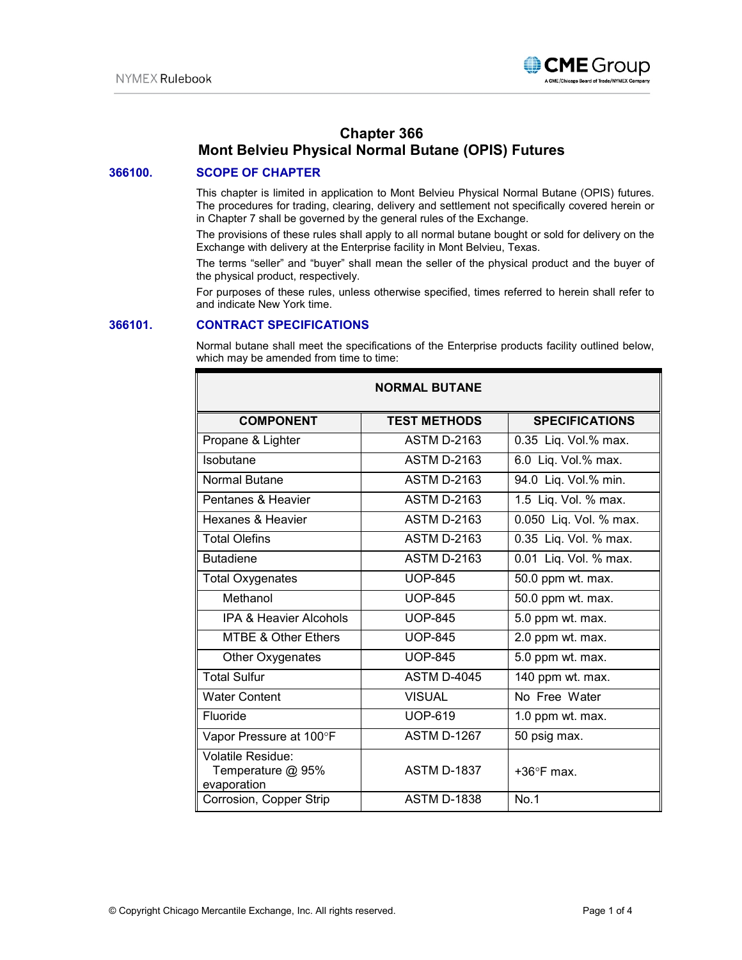

# **Chapter 366 Mont Belvieu Physical Normal Butane (OPIS) Futures**

# **366100. SCOPE OF CHAPTER**

This chapter is limited in application to Mont Belvieu Physical Normal Butane (OPIS) futures. The procedures for trading, clearing, delivery and settlement not specifically covered herein or in Chapter 7 shall be governed by the general rules of the Exchange.

The provisions of these rules shall apply to all normal butane bought or sold for delivery on the Exchange with delivery at the Enterprise facility in Mont Belvieu, Texas.

The terms "seller" and "buyer" shall mean the seller of the physical product and the buyer of the physical product, respectively.

For purposes of these rules, unless otherwise specified, times referred to herein shall refer to and indicate New York time.

### **366101. CONTRACT SPECIFICATIONS**

Normal butane shall meet the specifications of the Enterprise products facility outlined below, which may be amended from time to time:

| <b>NORMAL BUTANE</b>                                         |                     |                        |
|--------------------------------------------------------------|---------------------|------------------------|
| <b>COMPONENT</b>                                             | <b>TEST METHODS</b> | <b>SPECIFICATIONS</b>  |
| Propane & Lighter                                            | <b>ASTM D-2163</b>  | 0.35 Liq. Vol.% max.   |
| Isobutane                                                    | <b>ASTM D-2163</b>  | 6.0 Liq. Vol.% max.    |
| Normal Butane                                                | <b>ASTM D-2163</b>  | 94.0 Liq. Vol.% min.   |
| Pentanes & Heavier                                           | <b>ASTM D-2163</b>  | 1.5 Liq. Vol. % max.   |
| Hexanes & Heavier                                            | <b>ASTM D-2163</b>  | 0.050 Liq. Vol. % max. |
| <b>Total Olefins</b>                                         | <b>ASTM D-2163</b>  | 0.35 Liq. Vol. % max.  |
| <b>Butadiene</b>                                             | <b>ASTM D-2163</b>  | 0.01 Liq. Vol. % max.  |
| <b>Total Oxygenates</b>                                      | <b>UOP-845</b>      | 50.0 ppm wt. max.      |
| Methanol                                                     | <b>UOP-845</b>      | 50.0 ppm wt. max.      |
| <b>IPA &amp; Heavier Alcohols</b>                            | <b>UOP-845</b>      | 5.0 ppm wt. max.       |
| <b>MTBE &amp; Other Ethers</b>                               | <b>UOP-845</b>      | 2.0 ppm wt. max.       |
| Other Oxygenates                                             | <b>UOP-845</b>      | 5.0 ppm wt. max.       |
| <b>Total Sulfur</b>                                          | <b>ASTM D-4045</b>  | 140 ppm wt. max.       |
| <b>Water Content</b>                                         | <b>VISUAL</b>       | No Free Water          |
| Fluoride                                                     | <b>UOP-619</b>      | 1.0 ppm wt. max.       |
| Vapor Pressure at 100°F                                      | <b>ASTM D-1267</b>  | 50 psig max.           |
| <b>Volatile Residue:</b><br>Temperature @ 95%<br>evaporation | <b>ASTM D-1837</b>  | $+36^{\circ}$ F max.   |
| Corrosion, Copper Strip                                      | <b>ASTM D-1838</b>  | No.1                   |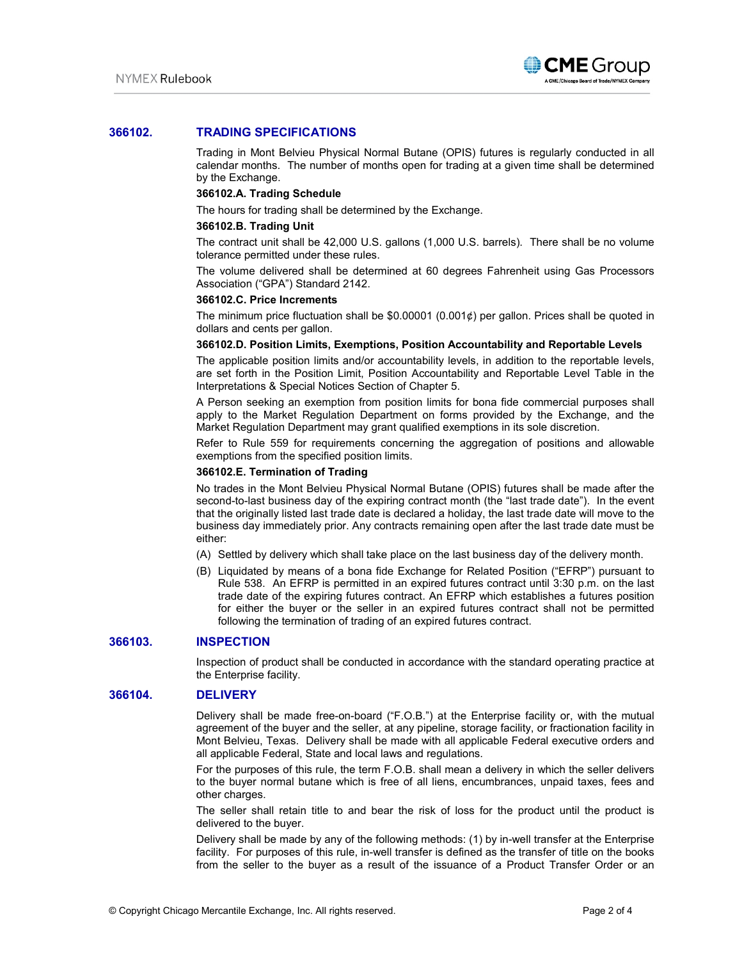

# **366102. TRADING SPECIFICATIONS**

Trading in Mont Belvieu Physical Normal Butane (OPIS) futures is regularly conducted in all calendar months. The number of months open for trading at a given time shall be determined by the Exchange.

### **366102.A. Trading Schedule**

The hours for trading shall be determined by the Exchange.

#### **366102.B. Trading Unit**

The contract unit shall be 42,000 U.S. gallons (1,000 U.S. barrels). There shall be no volume tolerance permitted under these rules.

The volume delivered shall be determined at 60 degrees Fahrenheit using Gas Processors Association ("GPA") Standard 2142.

### **366102.C. Price Increments**

The minimum price fluctuation shall be \$0.00001 (0.001¢) per gallon. Prices shall be quoted in dollars and cents per gallon.

### **366102.D. Position Limits, Exemptions, Position Accountability and Reportable Levels**

The applicable position limits and/or accountability levels, in addition to the reportable levels, are set forth in the Position Limit, Position Accountability and Reportable Level Table in the Interpretations & Special Notices Section of Chapter 5.

A Person seeking an exemption from position limits for bona fide commercial purposes shall apply to the Market Regulation Department on forms provided by the Exchange, and the Market Regulation Department may grant qualified exemptions in its sole discretion.

Refer to Rule 559 for requirements concerning the aggregation of positions and allowable exemptions from the specified position limits.

### **366102.E. Termination of Trading**

No trades in the Mont Belvieu Physical Normal Butane (OPIS) futures shall be made after the second-to-last business day of the expiring contract month (the "last trade date"). In the event that the originally listed last trade date is declared a holiday, the last trade date will move to the business day immediately prior. Any contracts remaining open after the last trade date must be either:

(A) Settled by delivery which shall take place on the last business day of the delivery month.

(B) Liquidated by means of a bona fide Exchange for Related Position ("EFRP") pursuant to Rule 538. An EFRP is permitted in an expired futures contract until 3:30 p.m. on the last trade date of the expiring futures contract. An EFRP which establishes a futures position for either the buyer or the seller in an expired futures contract shall not be permitted following the termination of trading of an expired futures contract.

### **366103. INSPECTION**

Inspection of product shall be conducted in accordance with the standard operating practice at the Enterprise facility.

### **366104. DELIVERY**

Delivery shall be made free-on-board ("F.O.B.") at the Enterprise facility or, with the mutual agreement of the buyer and the seller, at any pipeline, storage facility, or fractionation facility in Mont Belvieu, Texas. Delivery shall be made with all applicable Federal executive orders and all applicable Federal, State and local laws and regulations.

For the purposes of this rule, the term F.O.B. shall mean a delivery in which the seller delivers to the buyer normal butane which is free of all liens, encumbrances, unpaid taxes, fees and other charges.

The seller shall retain title to and bear the risk of loss for the product until the product is delivered to the buyer.

Delivery shall be made by any of the following methods: (1) by in-well transfer at the Enterprise facility. For purposes of this rule, in-well transfer is defined as the transfer of title on the books from the seller to the buyer as a result of the issuance of a Product Transfer Order or an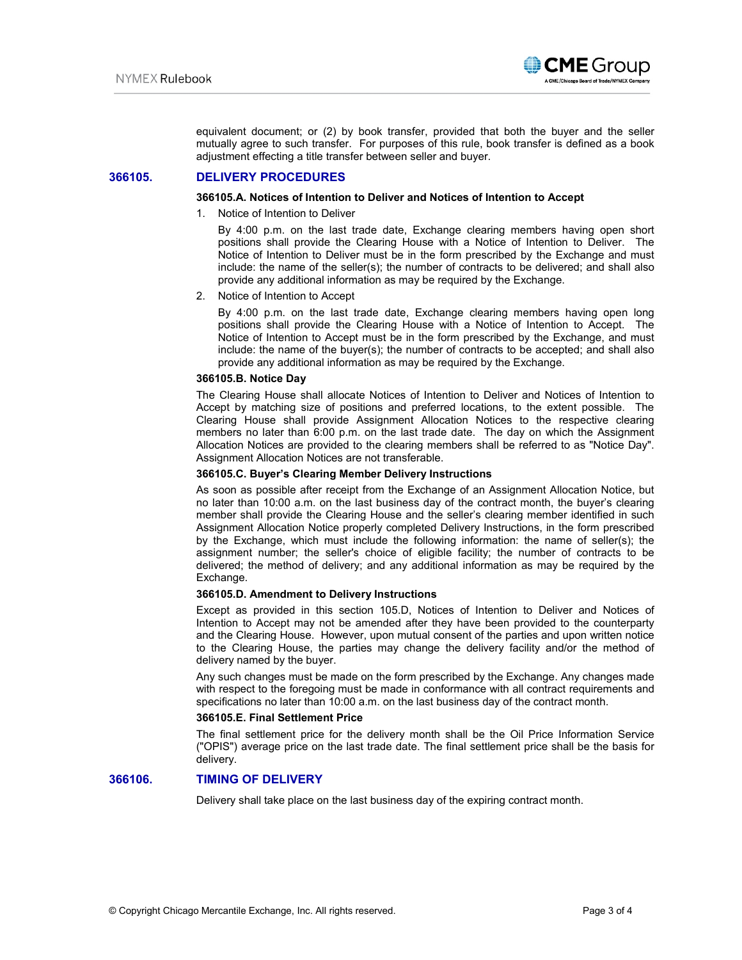

equivalent document; or (2) by book transfer, provided that both the buyer and the seller mutually agree to such transfer. For purposes of this rule, book transfer is defined as a book adjustment effecting a title transfer between seller and buyer.

# **366105. DELIVERY PROCEDURES**

### **366105.A. Notices of Intention to Deliver and Notices of Intention to Accept**

1. Notice of Intention to Deliver

By 4:00 p.m. on the last trade date, Exchange clearing members having open short positions shall provide the Clearing House with a Notice of Intention to Deliver. The Notice of Intention to Deliver must be in the form prescribed by the Exchange and must include: the name of the seller(s); the number of contracts to be delivered; and shall also provide any additional information as may be required by the Exchange.

2. Notice of Intention to Accept

By 4:00 p.m. on the last trade date, Exchange clearing members having open long positions shall provide the Clearing House with a Notice of Intention to Accept. The Notice of Intention to Accept must be in the form prescribed by the Exchange, and must include: the name of the buyer(s); the number of contracts to be accepted; and shall also provide any additional information as may be required by the Exchange.

# **366105.B. Notice Day**

The Clearing House shall allocate Notices of Intention to Deliver and Notices of Intention to Accept by matching size of positions and preferred locations, to the extent possible. The Clearing House shall provide Assignment Allocation Notices to the respective clearing members no later than 6:00 p.m. on the last trade date. The day on which the Assignment Allocation Notices are provided to the clearing members shall be referred to as "Notice Day". Assignment Allocation Notices are not transferable.

#### **366105.C. Buyer's Clearing Member Delivery Instructions**

As soon as possible after receipt from the Exchange of an Assignment Allocation Notice, but no later than 10:00 a.m. on the last business day of the contract month, the buyer's clearing member shall provide the Clearing House and the seller's clearing member identified in such Assignment Allocation Notice properly completed Delivery Instructions, in the form prescribed by the Exchange, which must include the following information: the name of seller(s); the assignment number; the seller's choice of eligible facility; the number of contracts to be delivered; the method of delivery; and any additional information as may be required by the Exchange.

### **366105.D. Amendment to Delivery Instructions**

Except as provided in this section 105.D, Notices of Intention to Deliver and Notices of Intention to Accept may not be amended after they have been provided to the counterparty and the Clearing House. However, upon mutual consent of the parties and upon written notice to the Clearing House, the parties may change the delivery facility and/or the method of delivery named by the buyer.

Any such changes must be made on the form prescribed by the Exchange. Any changes made with respect to the foregoing must be made in conformance with all contract requirements and specifications no later than 10:00 a.m. on the last business day of the contract month.

#### **366105.E. Final Settlement Price**

The final settlement price for the delivery month shall be the Oil Price Information Service ("OPIS") average price on the last trade date. The final settlement price shall be the basis for delivery.

### **366106. TIMING OF DELIVERY**

Delivery shall take place on the last business day of the expiring contract month.